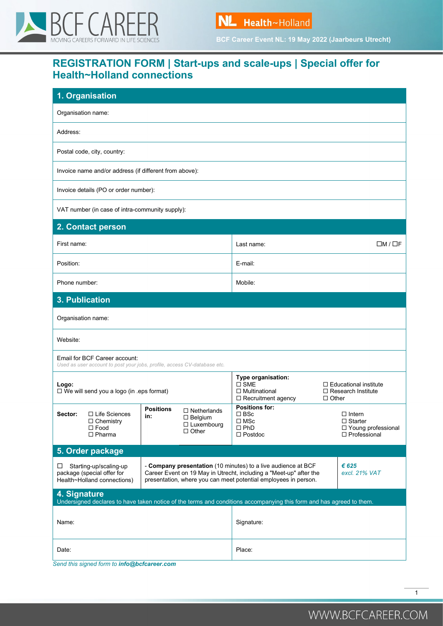



**BCF Career Event NL: 19 May 2022 (Jaarbeurs Utrecht)**

# **REGISTRATION FORM | Start-ups and scale-ups | Special offer for Health~Holland connections**

| 1. Organisation                                                                                                                      |                                                                                                                                                                                                                                  |                                                                                          |                                                                           |
|--------------------------------------------------------------------------------------------------------------------------------------|----------------------------------------------------------------------------------------------------------------------------------------------------------------------------------------------------------------------------------|------------------------------------------------------------------------------------------|---------------------------------------------------------------------------|
| Organisation name:                                                                                                                   |                                                                                                                                                                                                                                  |                                                                                          |                                                                           |
| Address:                                                                                                                             |                                                                                                                                                                                                                                  |                                                                                          |                                                                           |
| Postal code, city, country:                                                                                                          |                                                                                                                                                                                                                                  |                                                                                          |                                                                           |
| Invoice name and/or address (if different from above):                                                                               |                                                                                                                                                                                                                                  |                                                                                          |                                                                           |
| Invoice details (PO or order number):                                                                                                |                                                                                                                                                                                                                                  |                                                                                          |                                                                           |
| VAT number (in case of intra-community supply):                                                                                      |                                                                                                                                                                                                                                  |                                                                                          |                                                                           |
| 2. Contact person                                                                                                                    |                                                                                                                                                                                                                                  |                                                                                          |                                                                           |
| First name:                                                                                                                          |                                                                                                                                                                                                                                  | $\square M / \square F$<br>Last name:                                                    |                                                                           |
| Position:                                                                                                                            |                                                                                                                                                                                                                                  | E-mail:                                                                                  |                                                                           |
| Phone number:                                                                                                                        |                                                                                                                                                                                                                                  | Mobile:                                                                                  |                                                                           |
| 3. Publication                                                                                                                       |                                                                                                                                                                                                                                  |                                                                                          |                                                                           |
| Organisation name:                                                                                                                   |                                                                                                                                                                                                                                  |                                                                                          |                                                                           |
| Website:                                                                                                                             |                                                                                                                                                                                                                                  |                                                                                          |                                                                           |
| Email for BCF Career account:<br>Used as user account to post your jobs, profile, access CV-database etc.                            |                                                                                                                                                                                                                                  |                                                                                          |                                                                           |
| Logo:<br>$\Box$ We will send you a logo (in .eps format)                                                                             |                                                                                                                                                                                                                                  | Type organisation:<br>$\square$ SME<br>$\Box$ Multinational<br>$\Box$ Recruitment agency | $\Box$ Educational institute<br>$\Box$ Research Institute<br>$\Box$ Other |
| $\Box$ Life Sciences<br>Sector:<br>$\Box$ Chemistry<br>$\square$ Food<br>$\Box$ Pharma                                               | <b>Positions</b><br>$\Box$ Netherlands<br>in:<br>$\Box$ Belgium<br>$\Box$ Luxembourg<br>$\Box$ Other                                                                                                                             | <b>Positions for:</b><br>$\Box$ BSc<br>$\square$ MSc<br>$\square$ PhD<br>$\Box$ Postdoc  | $\Box$ Intern<br>$\Box$ Starter<br>□ Young professional<br>□ Professional |
| 5. Order package                                                                                                                     |                                                                                                                                                                                                                                  |                                                                                          |                                                                           |
| $\Box$ Starting-up/scaling-up<br>package (special offer for<br>Health~Holland connections)                                           | € 625<br>- Company presentation (10 minutes) to a live audience at BCF<br>Career Event on 19 May in Utrecht, including a "Meet-up" after the<br>excl. 21% VAT<br>presentation, where you can meet potential employees in person. |                                                                                          |                                                                           |
| 4. Signature<br>Undersigned declares to have taken notice of the terms and conditions accompanying this form and has agreed to them. |                                                                                                                                                                                                                                  |                                                                                          |                                                                           |
| Name:                                                                                                                                |                                                                                                                                                                                                                                  | Signature:                                                                               |                                                                           |
| Date:                                                                                                                                |                                                                                                                                                                                                                                  | Place:                                                                                   |                                                                           |

*Send this signed form to info@bcfcareer.com*

1